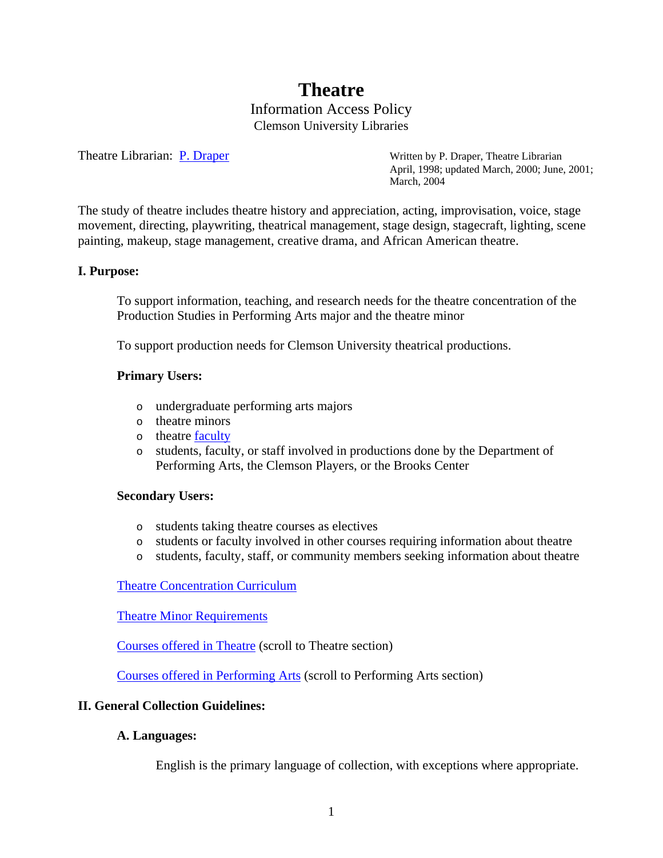# **Theatre**

Information Access Policy Clemson University Libraries

Theatre Librarian: [P. Draper](mailto:pdraper@clemson.edu) Written by P. Draper, Theatre Librarian April, 1998; updated March, 2000; June, 2001; March, 2004

The study of theatre includes theatre history and appreciation, acting, improvisation, voice, stage movement, directing, playwriting, theatrical management, stage design, stagecraft, lighting, scene painting, makeup, stage management, creative drama, and African American theatre.

#### **I. Purpose:**

To support information, teaching, and research needs for the theatre concentration of the Production Studies in Performing Arts major and the theatre minor

To support production needs for Clemson University theatrical productions.

#### **Primary Users:**

- o undergraduate performing arts majors
- o theatre minors
- o theatre [faculty](http://www.clemson.edu/PerfArts/faculty/index.php)
- o students, faculty, or staff involved in productions done by the Department of Performing Arts, the Clemson Players, or the Brooks Center

#### **Secondary Users:**

- o students taking theatre courses as electives
- o students or faculty involved in other courses requiring information about theatre
- o students, faculty, staff, or community members seeking information about theatre

[Theatre Concentration Curriculum](http://www.clemson.edu/Perf-Arts/academics/mapTheatre.php)

[Theatre Minor Requirements](http://www.registrar.clemson.edu/publicat/catalog/2006_PDF/minors.pdf)

[Courses offered in Theatre](http://www.registrar.clemson.edu/publicat/catalog/2006_PDF/202_212READ_WS.pdf) (scroll to Theatre section)

[Courses offered in Performing Arts](http://www.registrar.clemson.edu/publicat/catalog/2006_PDF/190_201PKGSC_READ.pdf) (scroll to Performing Arts section)

#### **II. General Collection Guidelines:**

#### **A. Languages:**

English is the primary language of collection, with exceptions where appropriate.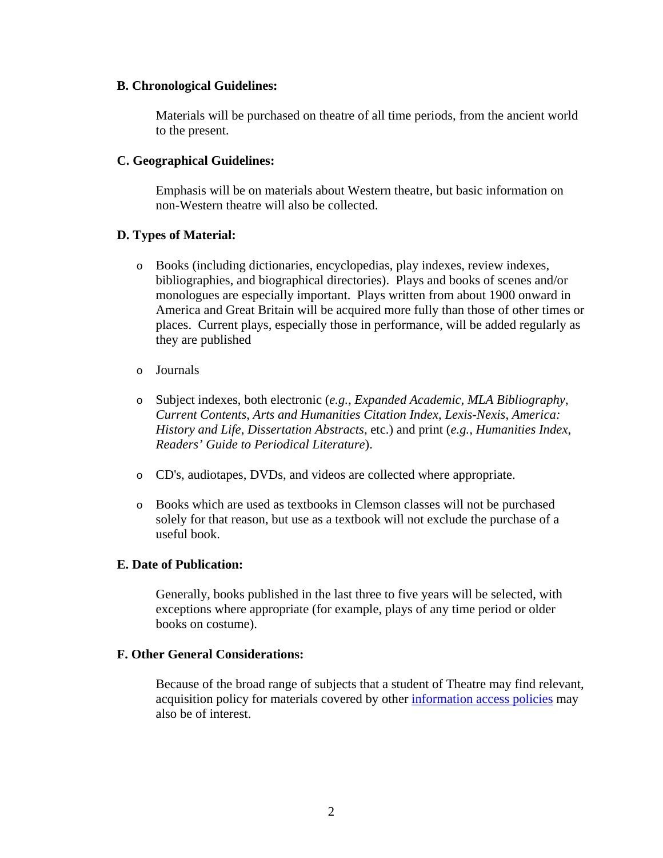#### **B. Chronological Guidelines:**

Materials will be purchased on theatre of all time periods, from the ancient world to the present.

## **C. Geographical Guidelines:**

Emphasis will be on materials about Western theatre, but basic information on non-Western theatre will also be collected.

# **D. Types of Material:**

- o Books (including dictionaries, encyclopedias, play indexes, review indexes, bibliographies, and biographical directories). Plays and books of scenes and/or monologues are especially important. Plays written from about 1900 onward in America and Great Britain will be acquired more fully than those of other times or places. Current plays, especially those in performance, will be added regularly as they are published
- o Journals
- o Subject indexes, both electronic (*e.g.*, *Expanded Academic*, *MLA Bibliography*, *Current Contents*, *Arts and Humanities Citation Index*, *Lexis-Nexis*, *America: History and Life*, *Dissertation Abstracts*, etc.) and print (*e.g., Humanities Index*, *Readers' Guide to Periodical Literature*).
- o CD's, audiotapes, DVDs, and videos are collected where appropriate.
- o Books which are used as textbooks in Clemson classes will not be purchased solely for that reason, but use as a textbook will not exclude the purchase of a useful book.

#### **E. Date of Publication:**

Generally, books published in the last three to five years will be selected, with exceptions where appropriate (for example, plays of any time period or older books on costume).

## **F. Other General Considerations:**

Because of the broad range of subjects that a student of Theatre may find relevant, acquisition policy for materials covered by other [information access policies](http://www.lib.clemson.edu/aboutlib/infoaccess/index.htm) may also be of interest.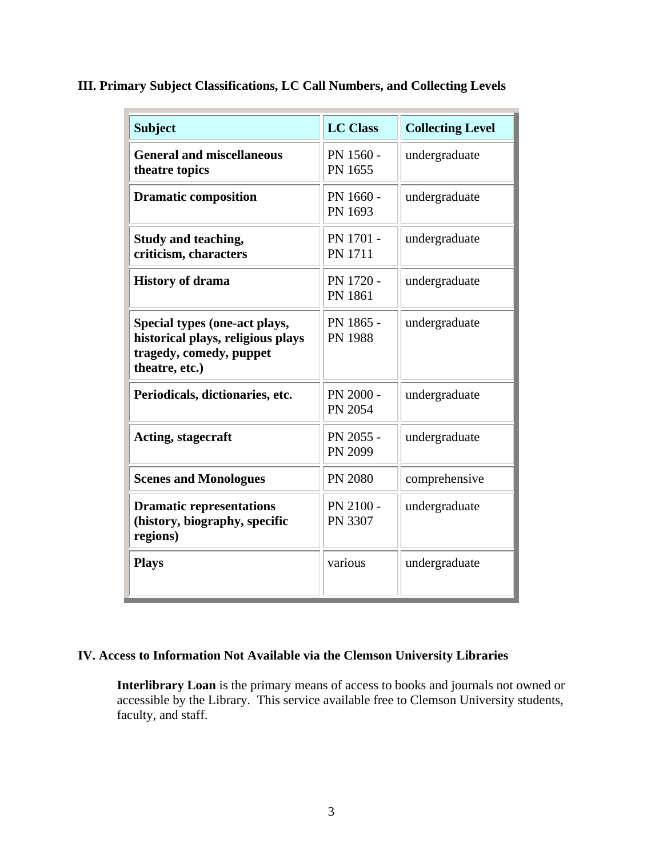| <b>Subject</b>                                                                                                  | <b>LC Class</b>             | <b>Collecting Level</b> |
|-----------------------------------------------------------------------------------------------------------------|-----------------------------|-------------------------|
| <b>General and miscellaneous</b><br>theatre topics                                                              | PN 1560 -<br>PN 1655        | undergraduate           |
| <b>Dramatic composition</b>                                                                                     | PN 1660 -<br>PN 1693        | undergraduate           |
| Study and teaching,<br>criticism, characters                                                                    | PN 1701 -<br><b>PN 1711</b> | undergraduate           |
| <b>History of drama</b>                                                                                         | PN 1720 -<br>PN 1861        | undergraduate           |
| Special types (one-act plays,<br>historical plays, religious plays<br>tragedy, comedy, puppet<br>theatre, etc.) | PN 1865 -<br><b>PN 1988</b> | undergraduate           |
| Periodicals, dictionaries, etc.                                                                                 | PN 2000 -<br>PN 2054        | undergraduate           |
| Acting, stagecraft                                                                                              | PN 2055 -<br>PN 2099        | undergraduate           |
| <b>Scenes and Monologues</b>                                                                                    | <b>PN 2080</b>              | comprehensive           |
| <b>Dramatic representations</b><br>(history, biography, specific<br>regions)                                    | PN 2100 -<br>PN 3307        | undergraduate           |
| <b>Plays</b>                                                                                                    | various                     | undergraduate           |

**III. Primary Subject Classifications, LC Call Numbers, and Collecting Levels**

# **IV. Access to Information Not Available via the Clemson University Libraries**

**Interlibrary Loan** is the primary means of access to books and journals not owned or accessible by the Library. This service available free to Clemson University students, faculty, and staff.